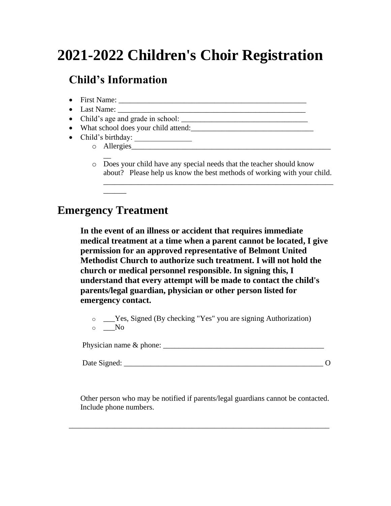# **2021-2022 Children's Choir Registration**

# **Child's Information**

- First Name:  $\frac{1}{2}$  and  $\frac{1}{2}$  and  $\frac{1}{2}$  and  $\frac{1}{2}$  and  $\frac{1}{2}$  and  $\frac{1}{2}$  and  $\frac{1}{2}$  and  $\frac{1}{2}$  and  $\frac{1}{2}$  and  $\frac{1}{2}$  and  $\frac{1}{2}$  and  $\frac{1}{2}$  and  $\frac{1}{2}$  and  $\frac{1}{2}$  and  $\frac{1}{2}$  a • Last Name: \_\_\_\_\_\_\_\_\_\_\_\_\_\_\_\_\_\_\_\_\_\_\_\_\_\_\_\_\_\_\_\_\_\_\_\_\_\_\_\_\_\_\_\_\_\_\_\_\_ • Child's age and grade in school: \_\_\_\_\_\_\_\_\_\_\_\_\_\_\_\_\_\_\_\_\_\_\_\_\_\_\_\_\_\_\_\_\_ • What school does your child attend:\_\_\_\_\_\_\_\_\_\_\_\_\_\_\_\_\_\_\_\_\_\_\_\_\_\_\_\_\_\_\_\_ • Child's birthday: o Allergies\_\_\_\_\_\_\_\_\_\_\_\_\_\_\_\_\_\_\_\_\_\_\_\_\_\_\_\_\_\_\_\_\_\_\_\_\_\_\_\_\_\_\_\_\_\_\_\_\_\_\_\_
	- $\overline{\phantom{a}}$ o Does your child have any special needs that the teacher should know about? Please help us know the best methods of working with your child.

\_\_\_\_\_\_\_\_\_\_\_\_\_\_\_\_\_\_\_\_\_\_\_\_\_\_\_\_\_\_\_\_\_\_\_\_\_\_\_\_\_\_\_\_\_\_\_\_\_\_\_\_\_\_\_\_\_\_\_\_

#### **Emergency Treatment**

\_\_\_\_\_\_

**In the event of an illness or accident that requires immediate medical treatment at a time when a parent cannot be located, I give permission for an approved representative of Belmont United Methodist Church to authorize such treatment. I will not hold the church or medical personnel responsible. In signing this, I understand that every attempt will be made to contact the child's parents/legal guardian, physician or other person listed for emergency contact.**

o \_\_\_Yes, Signed (By checking "Yes" you are signing Authorization)  $\circ$  \_\_No

Physician name & phone: \_\_\_\_\_\_\_\_\_\_\_\_\_\_\_\_\_\_\_\_\_\_\_\_\_\_\_\_\_\_\_\_\_\_\_\_\_\_\_\_\_\_

Date Signed:  $\qquad \qquad$  0

Other person who may be notified if parents/legal guardians cannot be contacted. Include phone numbers.

\_\_\_\_\_\_\_\_\_\_\_\_\_\_\_\_\_\_\_\_\_\_\_\_\_\_\_\_\_\_\_\_\_\_\_\_\_\_\_\_\_\_\_\_\_\_\_\_\_\_\_\_\_\_\_\_\_\_\_\_\_\_\_\_\_\_\_\_